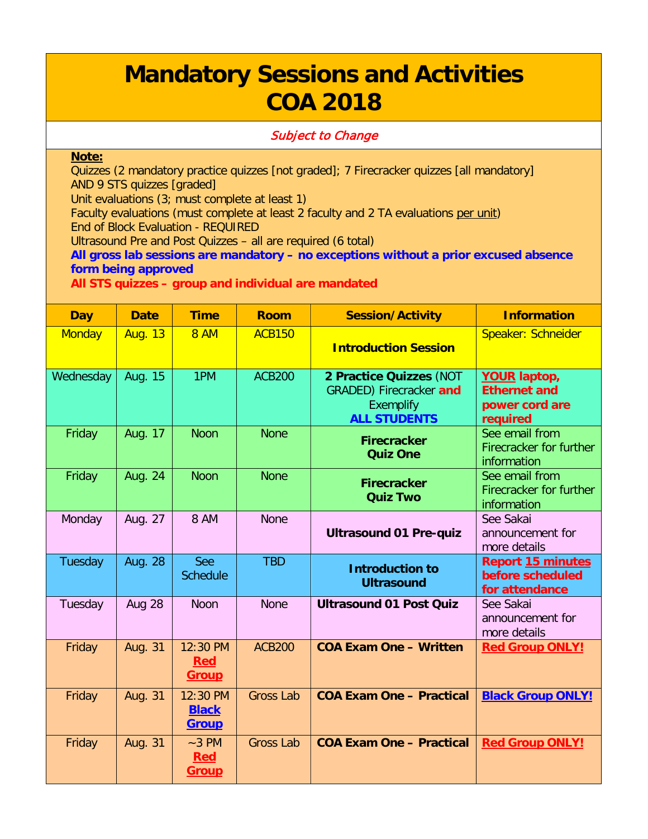## **Mandatory Sessions and Activities COA 2018**

## Subject to Change

## **Note:**

Quizzes (2 mandatory practice quizzes [not graded]; 7 Firecracker quizzes [all mandatory] AND 9 STS quizzes [graded]

Unit evaluations (3; must complete at least 1)

Faculty evaluations (must complete at least 2 faculty and 2 TA evaluations per unit) End of Block Evaluation - REQUIRED

Ultrasound Pre and Post Quizzes – all are required (6 total)

**All gross lab sessions are mandatory – no exceptions without a prior excused absence form being approved**

**All STS quizzes – group and individual are mandated**

| <b>Day</b>    | <b>Date</b>    | <b>Time</b>                            | <b>Room</b>      | <b>Session/Activity</b>                                                                              | <b>Information</b>                                                       |
|---------------|----------------|----------------------------------------|------------------|------------------------------------------------------------------------------------------------------|--------------------------------------------------------------------------|
| <b>Monday</b> | <b>Aug. 13</b> | <b>8 AM</b>                            | <b>ACB150</b>    | <b>Introduction Session</b>                                                                          | Speaker: Schneider                                                       |
| Wednesday     | Aug. 15        | 1PM                                    | <b>ACB200</b>    | 2 Practice Quizzes (NOT<br><b>GRADED)</b> Firecracker and<br><b>Exemplify</b><br><b>ALL STUDENTS</b> | <b>YOUR laptop,</b><br><b>Ethernet and</b><br>power cord are<br>required |
| Friday        | Aug. 17        | <b>Noon</b>                            | <b>None</b>      | <b>Firecracker</b><br><b>Quiz One</b>                                                                | See email from<br>Firecracker for further<br>information                 |
| Friday        | Aug. 24        | <b>Noon</b>                            | <b>None</b>      | <b>Firecracker</b><br><b>Quiz Two</b>                                                                | See email from<br>Firecracker for further<br>information                 |
| Monday        | Aug. 27        | 8 AM                                   | <b>None</b>      | <b>Ultrasound 01 Pre-quiz</b>                                                                        | See Sakai<br>announcement for<br>more details                            |
| Tuesday       | Aug. 28        | See<br><b>Schedule</b>                 | <b>TBD</b>       | <b>Introduction to</b><br><b>Ultrasound</b>                                                          | <b>Report 15 minutes</b><br>before scheduled<br>for attendance           |
| Tuesday       | Aug 28         | <b>Noon</b>                            | <b>None</b>      | <b>Ultrasound 01 Post Quiz</b>                                                                       | See Sakai<br>announcement for<br>more details                            |
| Friday        | <b>Aug. 31</b> | 12:30 PM<br><b>Red</b><br><b>Group</b> | <b>ACB200</b>    | <b>COA Exam One - Written</b>                                                                        | <b>Red Group ONLY!</b>                                                   |
| Friday        | Aug. 31        | 12:30 PM<br><b>Black</b><br>Group      | <b>Gross Lab</b> | <b>COA Exam One - Practical</b>                                                                      | <b>Black Group ONLY!</b>                                                 |
| Friday        | Aug. 31        | $~-3$ PM<br><b>Red</b><br><b>Group</b> | <b>Gross Lab</b> | <b>COA Exam One - Practical</b>                                                                      | <b>Red Group ONLY!</b>                                                   |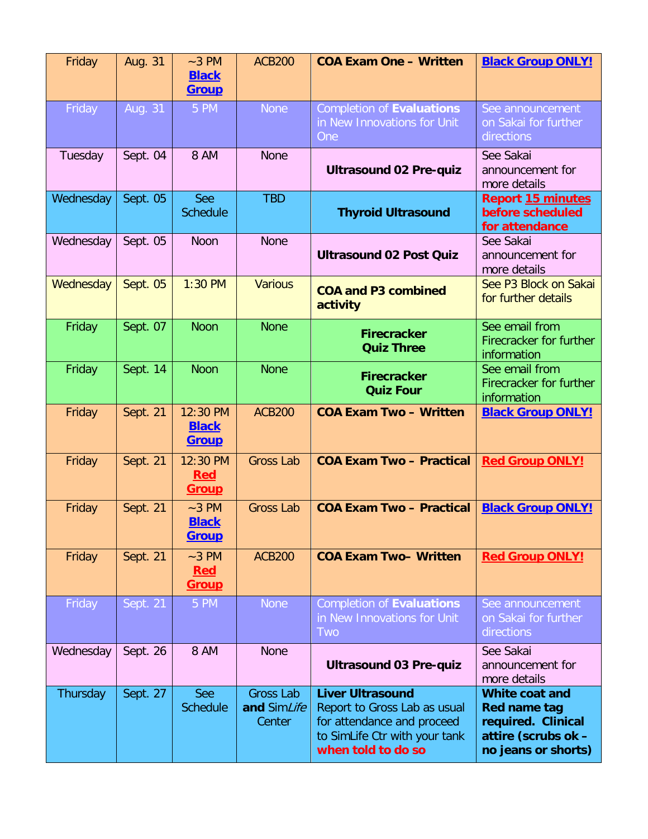| Friday    | Aug. 31  | $~-3$ PM<br><b>Black</b><br><b>Group</b> | <b>ACB200</b>                             | <b>COA Exam One - Written</b>                                                                                                                | <b>Black Group ONLY!</b>                                                                           |
|-----------|----------|------------------------------------------|-------------------------------------------|----------------------------------------------------------------------------------------------------------------------------------------------|----------------------------------------------------------------------------------------------------|
| Friday    | Aug. 31  | 5 PM                                     | <b>None</b>                               | <b>Completion of Evaluations</b><br>in New Innovations for Unit<br>One                                                                       | See announcement<br>on Sakai for further<br>directions                                             |
| Tuesday   | Sept. 04 | 8 AM                                     | <b>None</b>                               | <b>Ultrasound 02 Pre-quiz</b>                                                                                                                | See Sakai<br>announcement for<br>more details                                                      |
| Wednesday | Sept. 05 | See<br><b>Schedule</b>                   | <b>TBD</b>                                | <b>Thyroid Ultrasound</b>                                                                                                                    | <b>Report 15 minutes</b><br>before scheduled<br>for attendance                                     |
| Wednesday | Sept. 05 | <b>Noon</b>                              | <b>None</b>                               | <b>Ultrasound 02 Post Quiz</b>                                                                                                               | See Sakai<br>announcement for<br>more details                                                      |
| Wednesday | Sept. 05 | 1:30 PM                                  | <b>Various</b>                            | <b>COA and P3 combined</b><br>activity                                                                                                       | See P3 Block on Sakai<br>for further details                                                       |
| Friday    | Sept. 07 | <b>Noon</b>                              | <b>None</b>                               | <b>Firecracker</b><br><b>Quiz Three</b>                                                                                                      | See email from<br>Firecracker for further<br>information                                           |
| Friday    | Sept. 14 | <b>Noon</b>                              | <b>None</b>                               | <b>Firecracker</b><br><b>Quiz Four</b>                                                                                                       | See email from<br>Firecracker for further<br>information                                           |
| Friday    | Sept. 21 | 12:30 PM<br><b>Black</b><br><b>Group</b> | <b>ACB200</b>                             | <b>COA Exam Two - Written</b>                                                                                                                | <b>Black Group ONLY!</b>                                                                           |
| Friday    | Sept. 21 | 12:30 PM<br><b>Red</b><br><b>Group</b>   | <b>Gross Lab</b>                          | <b>COA Exam Two - Practical</b>                                                                                                              | <b>Red Group ONLY!</b>                                                                             |
| Friday    | Sept. 21 | $~-3$ PM<br><b>Black</b><br><b>Group</b> | <b>Gross Lab</b>                          | <b>COA Exam Two - Practical</b>                                                                                                              | <b>Black Group ONLY!</b>                                                                           |
| Friday    | Sept. 21 | $~-3$ PM<br><b>Red</b><br><u>Group</u>   | <b>ACB200</b>                             | <b>COA Exam Two-Written</b>                                                                                                                  | <b>Red Group ONLY!</b>                                                                             |
| Friday    | Sept. 21 | 5 PM                                     | <b>None</b>                               | <b>Completion of Evaluations</b><br>in New Innovations for Unit<br><b>Two</b>                                                                | See announcement<br>on Sakai for further<br>directions                                             |
| Wednesday | Sept. 26 | 8 AM                                     | <b>None</b>                               | <b>Ultrasound 03 Pre-quiz</b>                                                                                                                | See Sakai<br>announcement for<br>more details                                                      |
| Thursday  | Sept. 27 | See<br><b>Schedule</b>                   | <b>Gross Lab</b><br>and SimLife<br>Center | <b>Liver Ultrasound</b><br>Report to Gross Lab as usual<br>for attendance and proceed<br>to SimLife Ctr with your tank<br>when told to do so | White coat and<br>Red name tag<br>required. Clinical<br>attire (scrubs ok -<br>no jeans or shorts) |